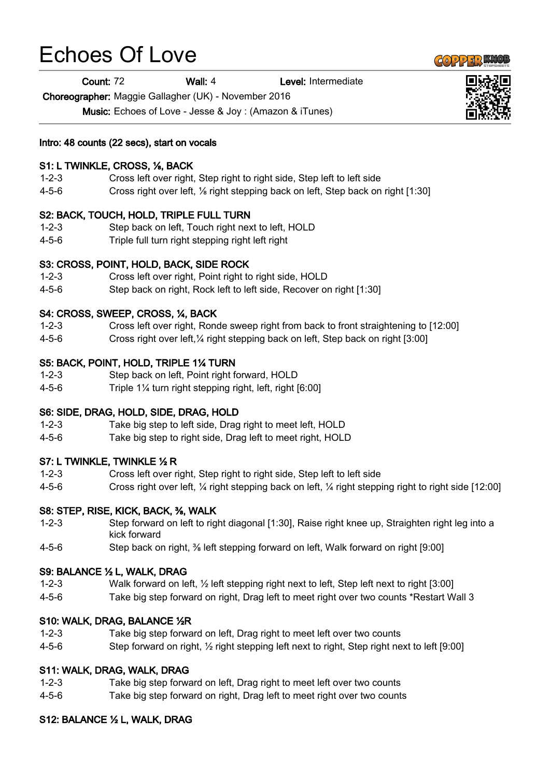# Echoes Of Love

Count: 72 Wall: 4 Level: Intermediate

Choreographer: Maggie Gallagher (UK) - November 2016

Music: Echoes of Love - Jesse & Joy : (Amazon & iTunes)

Intro: 48 counts (22 secs), start on vocals

### S1: L TWINKLE, CROSS, ⅛, BACK

- 1-2-3 Cross left over right, Step right to right side, Step left to left side
- 4-5-6 Cross right over left, ⅛ right stepping back on left, Step back on right [1:30]

#### S2: BACK, TOUCH, HOLD, TRIPLE FULL TURN

- 1-2-3 Step back on left, Touch right next to left, HOLD
- 4-5-6 Triple full turn right stepping right left right

#### S3: CROSS, POINT, HOLD, BACK, SIDE ROCK

- 1-2-3 Cross left over right, Point right to right side, HOLD
- 4-5-6 Step back on right, Rock left to left side, Recover on right [1:30]

#### S4: CROSS, SWEEP, CROSS, ¼, BACK

- 1-2-3 Cross left over right, Ronde sweep right from back to front straightening to [12:00]
- 4-5-6 Cross right over left,¼ right stepping back on left, Step back on right [3:00]

#### S5: BACK, POINT, HOLD, TRIPLE 1¼ TURN

- 1-2-3 Step back on left, Point right forward, HOLD
- 4-5-6 Triple 1¼ turn right stepping right, left, right [6:00]

#### S6: SIDE, DRAG, HOLD, SIDE, DRAG, HOLD

- 1-2-3 Take big step to left side, Drag right to meet left, HOLD
- 4-5-6 Take big step to right side, Drag left to meet right, HOLD

#### S7: L TWINKLE, TWINKLE ½ R

- 1-2-3 Cross left over right, Step right to right side, Step left to left side
- 4-5-6 Cross right over left, ¼ right stepping back on left, ¼ right stepping right to right side [12:00]

#### S8: STEP, RISE, KICK, BACK, ⅜, WALK

- 1-2-3 Step forward on left to right diagonal [1:30], Raise right knee up, Straighten right leg into a kick forward
- 4-5-6 Step back on right, ⅜ left stepping forward on left, Walk forward on right [9:00]

#### S9: BALANCE ½ L, WALK, DRAG

- 1-2-3 Walk forward on left, ½ left stepping right next to left, Step left next to right [3:00]
- 4-5-6 Take big step forward on right, Drag left to meet right over two counts \*Restart Wall 3

#### S10: WALK, DRAG, BALANCE ½R

- 1-2-3 Take big step forward on left, Drag right to meet left over two counts
- 4-5-6 Step forward on right, ½ right stepping left next to right, Step right next to left [9:00]

## S11: WALK, DRAG, WALK, DRAG

- 1-2-3 Take big step forward on left, Drag right to meet left over two counts
- 4-5-6 Take big step forward on right, Drag left to meet right over two counts

## S12: BALANCE ½ L, WALK, DRAG